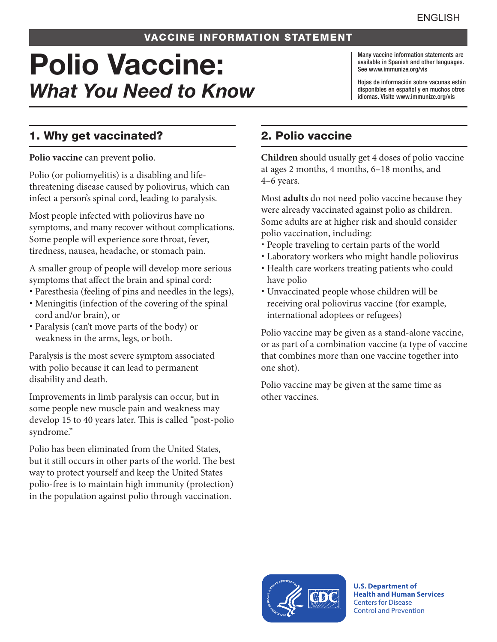## VACCINE INFORMATION STATEMENT

# Polio Vaccine: *What You Need to Know*

Many vaccine information statements are available in Spanish and other languages. See [www.immunize.org/vis](http://www.immunize.org/vis)

Hojas de información sobre vacunas están disponibles en español y en muchos otros idiomas. Visite [www.immunize.org/vis](http://www.immunize.org/vis)

# 1. Why get vaccinated?

**Polio vaccine** can prevent **polio**.

Polio (or poliomyelitis) is a disabling and lifethreatening disease caused by poliovirus, which can infect a person's spinal cord, leading to paralysis.

Most people infected with poliovirus have no symptoms, and many recover without complications. Some people will experience sore throat, fever, tiredness, nausea, headache, or stomach pain.

A smaller group of people will develop more serious symptoms that affect the brain and spinal cord:

- Paresthesia (feeling of pins and needles in the legs),
- Meningitis (infection of the covering of the spinal cord and/or brain), or
- Paralysis (can't move parts of the body) or weakness in the arms, legs, or both.

Paralysis is the most severe symptom associated with polio because it can lead to permanent disability and death.

Improvements in limb paralysis can occur, but in some people new muscle pain and weakness may develop 15 to 40 years later. This is called "post-polio syndrome."

Polio has been eliminated from the United States, but it still occurs in other parts of the world. The best way to protect yourself and keep the United States polio-free is to maintain high immunity (protection) in the population against polio through vaccination.

# 2. Polio vaccine

**Children** should usually get 4 doses of polio vaccine at ages 2 months, 4 months, 6–18 months, and 4–6 years.

Most **adults** do not need polio vaccine because they were already vaccinated against polio as children. Some adults are at higher risk and should consider polio vaccination, including:

- People traveling to certain parts of the world
- Laboratory workers who might handle poliovirus
- Health care workers treating patients who could have polio
- Unvaccinated people whose children will be receiving oral poliovirus vaccine (for example, international adoptees or refugees)

Polio vaccine may be given as a stand-alone vaccine, or as part of a combination vaccine (a type of vaccine that combines more than one vaccine together into one shot).

Polio vaccine may be given at the same time as other vaccines.



**U.S. Department of Health and Human Services**  Centers for Disease Control and Prevention